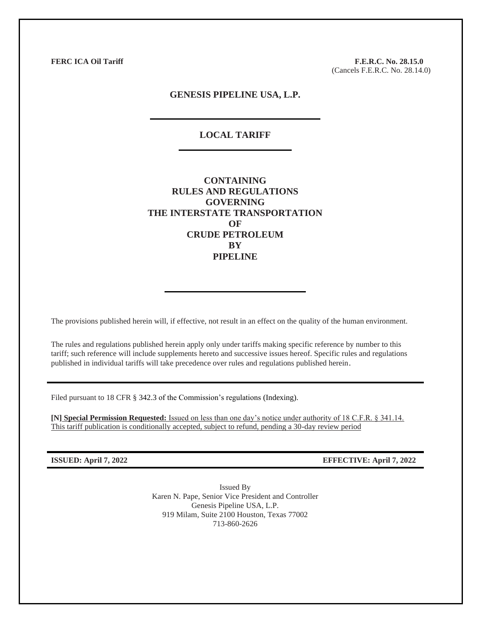**FERC ICA Oil Tariff F.E.R.C. No. 28.15.0** (Cancels F.E.R.C. No. 28.14.0)

### **GENESIS PIPELINE USA, L.P.**

## **LOCAL TARIFF**

**CONTAINING RULES AND REGULATIONS GOVERNING THE INTERSTATE TRANSPORTATION OF CRUDE PETROLEUM BY PIPELINE**

The provisions published herein will, if effective, not result in an effect on the quality of the human environment.

The rules and regulations published herein apply only under tariffs making specific reference by number to this tariff; such reference will include supplements hereto and successive issues hereof. Specific rules and regulations published in individual tariffs will take precedence over rules and regulations published herein.

Filed pursuant to 18 CFR § 342.3 of the Commission's regulations (Indexing).

**[N] Special Permission Requested:** Issued on less than one day's notice under authority of 18 C.F.R. § 341.14. This tariff publication is conditionally accepted, subject to refund, pending a 30-day review period

**ISSUED: April 7, 2022 EFFECTIVE: April 7, 2022**

Issued By Karen N. Pape, Senior Vice President and Controller Genesis Pipeline USA, L.P. 919 Milam, Suite 2100 Houston, Texas 77002 713-860-2626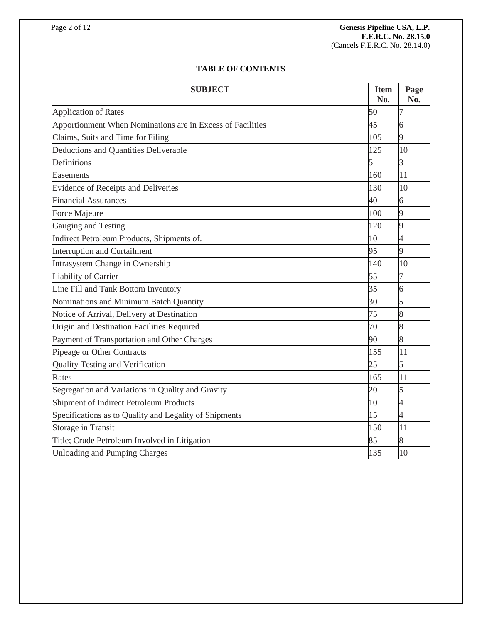# **TABLE OF CONTENTS**

| <b>SUBJECT</b>                                             |     | Page<br>No.    |
|------------------------------------------------------------|-----|----------------|
| <b>Application of Rates</b>                                | 50  | 7              |
| Apportionment When Nominations are in Excess of Facilities | 45  | 6              |
| Claims, Suits and Time for Filing                          | 105 | 9              |
| Deductions and Quantities Deliverable                      | 125 | 10             |
| Definitions                                                | 5   | 3              |
| Easements                                                  | 160 | 11             |
| Evidence of Receipts and Deliveries                        | 130 | 10             |
| <b>Financial Assurances</b>                                | 40  | 6              |
| Force Majeure                                              | 100 | 9              |
| Gauging and Testing                                        | 120 | 9              |
| Indirect Petroleum Products, Shipments of.                 | 10  | 4              |
| <b>Interruption and Curtailment</b>                        | 95  | 9              |
| Intrasystem Change in Ownership                            | 140 | 10             |
| Liability of Carrier                                       | 55  | 7              |
| Line Fill and Tank Bottom Inventory                        | 35  | 6              |
| Nominations and Minimum Batch Quantity                     | 30  | 5              |
| Notice of Arrival, Delivery at Destination                 | 75  | 8              |
| Origin and Destination Facilities Required                 | 70  | 8              |
| Payment of Transportation and Other Charges                | 90  | 8              |
| Pipeage or Other Contracts                                 | 155 | 11             |
| <b>Quality Testing and Verification</b>                    | 25  | 5              |
| Rates                                                      | 165 | 11             |
| Segregation and Variations in Quality and Gravity          | 20  | 5              |
| Shipment of Indirect Petroleum Products                    | 10  | 4              |
| Specifications as to Quality and Legality of Shipments     | 15  | $\overline{4}$ |
| Storage in Transit                                         | 150 | 11             |
| Title; Crude Petroleum Involved in Litigation              | 85  | 8              |
| <b>Unloading and Pumping Charges</b>                       | 135 | 10             |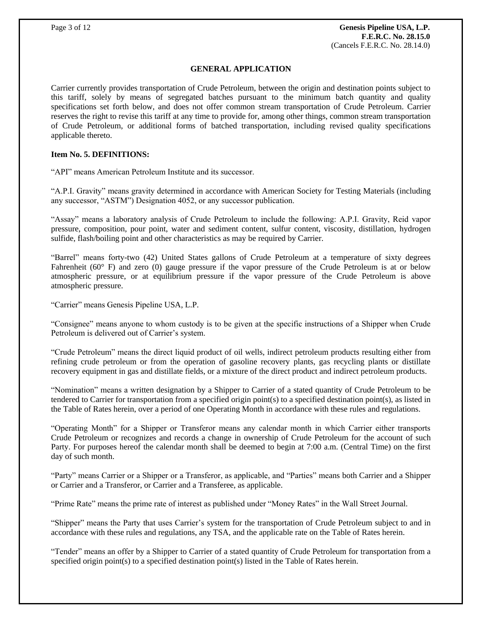### **GENERAL APPLICATION**

Carrier currently provides transportation of Crude Petroleum, between the origin and destination points subject to this tariff, solely by means of segregated batches pursuant to the minimum batch quantity and quality specifications set forth below, and does not offer common stream transportation of Crude Petroleum. Carrier reserves the right to revise this tariff at any time to provide for, among other things, common stream transportation of Crude Petroleum, or additional forms of batched transportation, including revised quality specifications applicable thereto.

## **Item No. 5. DEFINITIONS:**

"API" means American Petroleum Institute and its successor.

"A.P.I. Gravity" means gravity determined in accordance with American Society for Testing Materials (including any successor, "ASTM") Designation 4052, or any successor publication.

"Assay" means a laboratory analysis of Crude Petroleum to include the following: A.P.I. Gravity, Reid vapor pressure, composition, pour point, water and sediment content, sulfur content, viscosity, distillation, hydrogen sulfide, flash/boiling point and other characteristics as may be required by Carrier.

"Barrel" means forty-two (42) United States gallons of Crude Petroleum at a temperature of sixty degrees Fahrenheit (60° F) and zero (0) gauge pressure if the vapor pressure of the Crude Petroleum is at or below atmospheric pressure, or at equilibrium pressure if the vapor pressure of the Crude Petroleum is above atmospheric pressure.

"Carrier" means Genesis Pipeline USA, L.P.

"Consignee" means anyone to whom custody is to be given at the specific instructions of a Shipper when Crude Petroleum is delivered out of Carrier's system.

"Crude Petroleum" means the direct liquid product of oil wells, indirect petroleum products resulting either from refining crude petroleum or from the operation of gasoline recovery plants, gas recycling plants or distillate recovery equipment in gas and distillate fields, or a mixture of the direct product and indirect petroleum products.

"Nomination" means a written designation by a Shipper to Carrier of a stated quantity of Crude Petroleum to be tendered to Carrier for transportation from a specified origin point(s) to a specified destination point(s), as listed in the Table of Rates herein, over a period of one Operating Month in accordance with these rules and regulations.

"Operating Month" for a Shipper or Transferor means any calendar month in which Carrier either transports Crude Petroleum or recognizes and records a change in ownership of Crude Petroleum for the account of such Party. For purposes hereof the calendar month shall be deemed to begin at 7:00 a.m. (Central Time) on the first day of such month.

"Party" means Carrier or a Shipper or a Transferor, as applicable, and "Parties" means both Carrier and a Shipper or Carrier and a Transferor, or Carrier and a Transferee, as applicable.

"Prime Rate" means the prime rate of interest as published under "Money Rates" in the Wall Street Journal.

"Shipper" means the Party that uses Carrier's system for the transportation of Crude Petroleum subject to and in accordance with these rules and regulations, any TSA, and the applicable rate on the Table of Rates herein.

"Tender" means an offer by a Shipper to Carrier of a stated quantity of Crude Petroleum for transportation from a specified origin point(s) to a specified destination point(s) listed in the Table of Rates herein.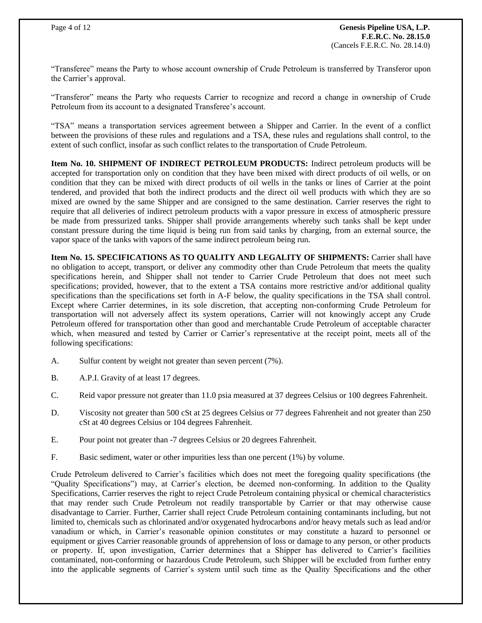"Transferee" means the Party to whose account ownership of Crude Petroleum is transferred by Transferor upon the Carrier's approval.

"Transferor" means the Party who requests Carrier to recognize and record a change in ownership of Crude Petroleum from its account to a designated Transferee's account.

"TSA" means a transportation services agreement between a Shipper and Carrier. In the event of a conflict between the provisions of these rules and regulations and a TSA, these rules and regulations shall control, to the extent of such conflict, insofar as such conflict relates to the transportation of Crude Petroleum.

**Item No. 10. SHIPMENT OF INDIRECT PETROLEUM PRODUCTS:** Indirect petroleum products will be accepted for transportation only on condition that they have been mixed with direct products of oil wells, or on condition that they can be mixed with direct products of oil wells in the tanks or lines of Carrier at the point tendered, and provided that both the indirect products and the direct oil well products with which they are so mixed are owned by the same Shipper and are consigned to the same destination. Carrier reserves the right to require that all deliveries of indirect petroleum products with a vapor pressure in excess of atmospheric pressure be made from pressurized tanks. Shipper shall provide arrangements whereby such tanks shall be kept under constant pressure during the time liquid is being run from said tanks by charging, from an external source, the vapor space of the tanks with vapors of the same indirect petroleum being run.

**Item No. 15. SPECIFICATIONS AS TO QUALITY AND LEGALITY OF SHIPMENTS:** Carrier shall have no obligation to accept, transport, or deliver any commodity other than Crude Petroleum that meets the quality specifications herein, and Shipper shall not tender to Carrier Crude Petroleum that does not meet such specifications; provided, however, that to the extent a TSA contains more restrictive and/or additional quality specifications than the specifications set forth in A-F below, the quality specifications in the TSA shall control. Except where Carrier determines, in its sole discretion, that accepting non-conforming Crude Petroleum for transportation will not adversely affect its system operations, Carrier will not knowingly accept any Crude Petroleum offered for transportation other than good and merchantable Crude Petroleum of acceptable character which, when measured and tested by Carrier or Carrier's representative at the receipt point, meets all of the following specifications:

- A. Sulfur content by weight not greater than seven percent (7%).
- B. A.P.I. Gravity of at least 17 degrees.
- C. Reid vapor pressure not greater than 11.0 psia measured at 37 degrees Celsius or 100 degrees Fahrenheit.
- D. Viscosity not greater than 500 cSt at 25 degrees Celsius or 77 degrees Fahrenheit and not greater than 250 cSt at 40 degrees Celsius or 104 degrees Fahrenheit.
- E. Pour point not greater than -7 degrees Celsius or 20 degrees Fahrenheit.
- F. Basic sediment, water or other impurities less than one percent (1%) by volume.

Crude Petroleum delivered to Carrier's facilities which does not meet the foregoing quality specifications (the "Quality Specifications") may, at Carrier's election, be deemed non-conforming. In addition to the Quality Specifications, Carrier reserves the right to reject Crude Petroleum containing physical or chemical characteristics that may render such Crude Petroleum not readily transportable by Carrier or that may otherwise cause disadvantage to Carrier. Further, Carrier shall reject Crude Petroleum containing contaminants including, but not limited to, chemicals such as chlorinated and/or oxygenated hydrocarbons and/or heavy metals such as lead and/or vanadium or which, in Carrier's reasonable opinion constitutes or may constitute a hazard to personnel or equipment or gives Carrier reasonable grounds of apprehension of loss or damage to any person, or other products or property. If, upon investigation, Carrier determines that a Shipper has delivered to Carrier's facilities contaminated, non-conforming or hazardous Crude Petroleum, such Shipper will be excluded from further entry into the applicable segments of Carrier's system until such time as the Quality Specifications and the other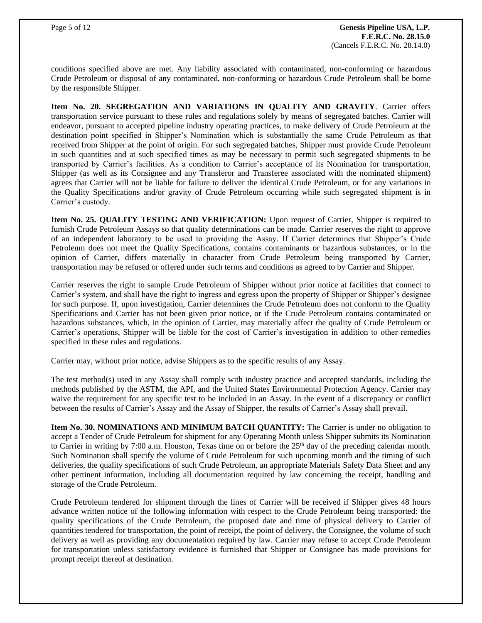conditions specified above are met. Any liability associated with contaminated, non-conforming or hazardous Crude Petroleum or disposal of any contaminated, non-conforming or hazardous Crude Petroleum shall be borne by the responsible Shipper.

**Item No. 20. SEGREGATION AND VARIATIONS IN QUALITY AND GRAVITY**. Carrier offers transportation service pursuant to these rules and regulations solely by means of segregated batches. Carrier will endeavor, pursuant to accepted pipeline industry operating practices, to make delivery of Crude Petroleum at the destination point specified in Shipper's Nomination which is substantially the same Crude Petroleum as that received from Shipper at the point of origin. For such segregated batches, Shipper must provide Crude Petroleum in such quantities and at such specified times as may be necessary to permit such segregated shipments to be transported by Carrier's facilities. As a condition to Carrier's acceptance of its Nomination for transportation, Shipper (as well as its Consignee and any Transferor and Transferee associated with the nominated shipment) agrees that Carrier will not be liable for failure to deliver the identical Crude Petroleum, or for any variations in the Quality Specifications and/or gravity of Crude Petroleum occurring while such segregated shipment is in Carrier's custody.

**Item No. 25. QUALITY TESTING AND VERIFICATION:** Upon request of Carrier, Shipper is required to furnish Crude Petroleum Assays so that quality determinations can be made. Carrier reserves the right to approve of an independent laboratory to be used to providing the Assay. If Carrier determines that Shipper's Crude Petroleum does not meet the Quality Specifications, contains contaminants or hazardous substances, or in the opinion of Carrier, differs materially in character from Crude Petroleum being transported by Carrier, transportation may be refused or offered under such terms and conditions as agreed to by Carrier and Shipper.

Carrier reserves the right to sample Crude Petroleum of Shipper without prior notice at facilities that connect to Carrier's system, and shall have the right to ingress and egress upon the property of Shipper or Shipper's designee for such purpose. If, upon investigation, Carrier determines the Crude Petroleum does not conform to the Quality Specifications and Carrier has not been given prior notice, or if the Crude Petroleum contains contaminated or hazardous substances, which, in the opinion of Carrier, may materially affect the quality of Crude Petroleum or Carrier's operations, Shipper will be liable for the cost of Carrier's investigation in addition to other remedies specified in these rules and regulations.

Carrier may, without prior notice, advise Shippers as to the specific results of any Assay.

The test method(s) used in any Assay shall comply with industry practice and accepted standards, including the methods published by the ASTM, the API, and the United States Environmental Protection Agency. Carrier may waive the requirement for any specific test to be included in an Assay. In the event of a discrepancy or conflict between the results of Carrier's Assay and the Assay of Shipper, the results of Carrier's Assay shall prevail.

**Item No. 30. NOMINATIONS AND MINIMUM BATCH QUANTITY:** The Carrier is under no obligation to accept a Tender of Crude Petroleum for shipment for any Operating Month unless Shipper submits its Nomination to Carrier in writing by 7:00 a.m. Houston, Texas time on or before the 25<sup>th</sup> day of the preceding calendar month. Such Nomination shall specify the volume of Crude Petroleum for such upcoming month and the timing of such deliveries, the quality specifications of such Crude Petroleum, an appropriate Materials Safety Data Sheet and any other pertinent information, including all documentation required by law concerning the receipt, handling and storage of the Crude Petroleum.

Crude Petroleum tendered for shipment through the lines of Carrier will be received if Shipper gives 48 hours advance written notice of the following information with respect to the Crude Petroleum being transported: the quality specifications of the Crude Petroleum, the proposed date and time of physical delivery to Carrier of quantities tendered for transportation, the point of receipt, the point of delivery, the Consignee, the volume of such delivery as well as providing any documentation required by law. Carrier may refuse to accept Crude Petroleum for transportation unless satisfactory evidence is furnished that Shipper or Consignee has made provisions for prompt receipt thereof at destination.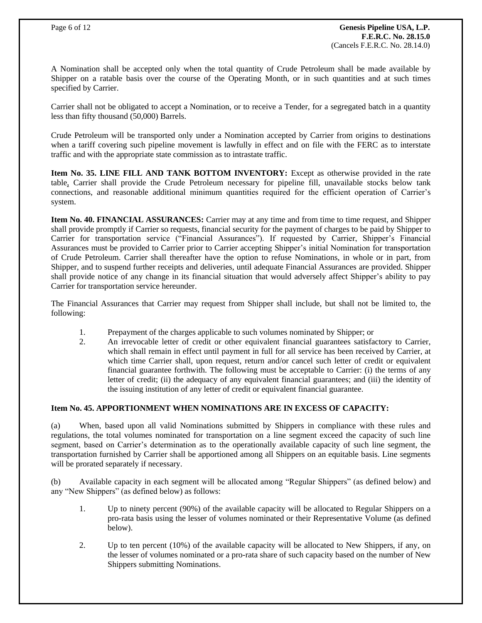A Nomination shall be accepted only when the total quantity of Crude Petroleum shall be made available by Shipper on a ratable basis over the course of the Operating Month, or in such quantities and at such times specified by Carrier.

Carrier shall not be obligated to accept a Nomination, or to receive a Tender, for a segregated batch in a quantity less than fifty thousand (50,000) Barrels.

Crude Petroleum will be transported only under a Nomination accepted by Carrier from origins to destinations when a tariff covering such pipeline movement is lawfully in effect and on file with the FERC as to interstate traffic and with the appropriate state commission as to intrastate traffic.

**Item No. 35. LINE FILL AND TANK BOTTOM INVENTORY:** Except as otherwise provided in the rate table, Carrier shall provide the Crude Petroleum necessary for pipeline fill, unavailable stocks below tank connections, and reasonable additional minimum quantities required for the efficient operation of Carrier's system.

**Item No. 40. FINANCIAL ASSURANCES:** Carrier may at any time and from time to time request, and Shipper shall provide promptly if Carrier so requests, financial security for the payment of charges to be paid by Shipper to Carrier for transportation service ("Financial Assurances"). If requested by Carrier, Shipper's Financial Assurances must be provided to Carrier prior to Carrier accepting Shipper's initial Nomination for transportation of Crude Petroleum. Carrier shall thereafter have the option to refuse Nominations, in whole or in part, from Shipper, and to suspend further receipts and deliveries, until adequate Financial Assurances are provided. Shipper shall provide notice of any change in its financial situation that would adversely affect Shipper's ability to pay Carrier for transportation service hereunder.

The Financial Assurances that Carrier may request from Shipper shall include, but shall not be limited to, the following:

- 1. Prepayment of the charges applicable to such volumes nominated by Shipper; or
- 2. An irrevocable letter of credit or other equivalent financial guarantees satisfactory to Carrier, which shall remain in effect until payment in full for all service has been received by Carrier, at which time Carrier shall, upon request, return and/or cancel such letter of credit or equivalent financial guarantee forthwith. The following must be acceptable to Carrier: (i) the terms of any letter of credit; (ii) the adequacy of any equivalent financial guarantees; and (iii) the identity of the issuing institution of any letter of credit or equivalent financial guarantee.

## **Item No. 45. APPORTIONMENT WHEN NOMINATIONS ARE IN EXCESS OF CAPACITY:**

(a) When, based upon all valid Nominations submitted by Shippers in compliance with these rules and regulations, the total volumes nominated for transportation on a line segment exceed the capacity of such line segment, based on Carrier's determination as to the operationally available capacity of such line segment, the transportation furnished by Carrier shall be apportioned among all Shippers on an equitable basis. Line segments will be prorated separately if necessary.

(b) Available capacity in each segment will be allocated among "Regular Shippers" (as defined below) and any "New Shippers" (as defined below) as follows:

- 1. Up to ninety percent (90%) of the available capacity will be allocated to Regular Shippers on a pro-rata basis using the lesser of volumes nominated or their Representative Volume (as defined below).
- 2. Up to ten percent (10%) of the available capacity will be allocated to New Shippers, if any, on the lesser of volumes nominated or a pro-rata share of such capacity based on the number of New Shippers submitting Nominations.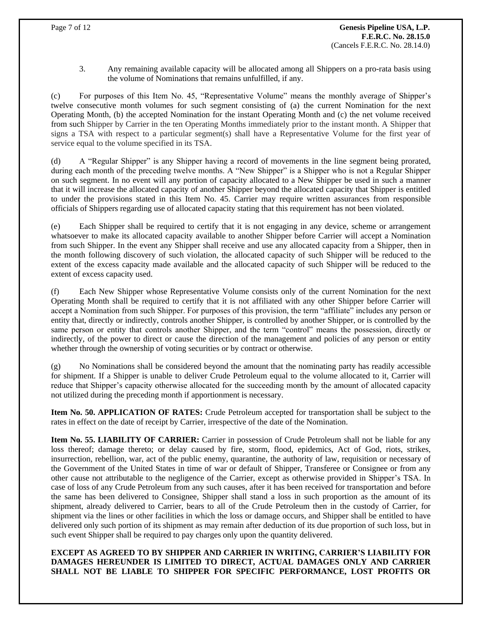3. Any remaining available capacity will be allocated among all Shippers on a pro-rata basis using the volume of Nominations that remains unfulfilled, if any.

(c) For purposes of this Item No. 45, "Representative Volume" means the monthly average of Shipper's twelve consecutive month volumes for such segment consisting of (a) the current Nomination for the next Operating Month, (b) the accepted Nomination for the instant Operating Month and (c) the net volume received from such Shipper by Carrier in the ten Operating Months immediately prior to the instant month. A Shipper that signs a TSA with respect to a particular segment(s) shall have a Representative Volume for the first year of service equal to the volume specified in its TSA.

(d) A "Regular Shipper" is any Shipper having a record of movements in the line segment being prorated, during each month of the preceding twelve months. A "New Shipper" is a Shipper who is not a Regular Shipper on such segment. In no event will any portion of capacity allocated to a New Shipper be used in such a manner that it will increase the allocated capacity of another Shipper beyond the allocated capacity that Shipper is entitled to under the provisions stated in this Item No. 45. Carrier may require written assurances from responsible officials of Shippers regarding use of allocated capacity stating that this requirement has not been violated.

(e) Each Shipper shall be required to certify that it is not engaging in any device, scheme or arrangement whatsoever to make its allocated capacity available to another Shipper before Carrier will accept a Nomination from such Shipper. In the event any Shipper shall receive and use any allocated capacity from a Shipper, then in the month following discovery of such violation, the allocated capacity of such Shipper will be reduced to the extent of the excess capacity made available and the allocated capacity of such Shipper will be reduced to the extent of excess capacity used.

(f) Each New Shipper whose Representative Volume consists only of the current Nomination for the next Operating Month shall be required to certify that it is not affiliated with any other Shipper before Carrier will accept a Nomination from such Shipper. For purposes of this provision, the term "affiliate" includes any person or entity that, directly or indirectly, controls another Shipper, is controlled by another Shipper, or is controlled by the same person or entity that controls another Shipper, and the term "control" means the possession, directly or indirectly, of the power to direct or cause the direction of the management and policies of any person or entity whether through the ownership of voting securities or by contract or otherwise.

(g) No Nominations shall be considered beyond the amount that the nominating party has readily accessible for shipment. If a Shipper is unable to deliver Crude Petroleum equal to the volume allocated to it, Carrier will reduce that Shipper's capacity otherwise allocated for the succeeding month by the amount of allocated capacity not utilized during the preceding month if apportionment is necessary.

**Item No. 50. APPLICATION OF RATES:** Crude Petroleum accepted for transportation shall be subject to the rates in effect on the date of receipt by Carrier, irrespective of the date of the Nomination.

**Item No. 55. LIABILITY OF CARRIER:** Carrier in possession of Crude Petroleum shall not be liable for any loss thereof; damage thereto; or delay caused by fire, storm, flood, epidemics, Act of God, riots, strikes, insurrection, rebellion, war, act of the public enemy, quarantine, the authority of law, requisition or necessary of the Government of the United States in time of war or default of Shipper, Transferee or Consignee or from any other cause not attributable to the negligence of the Carrier, except as otherwise provided in Shipper's TSA. In case of loss of any Crude Petroleum from any such causes, after it has been received for transportation and before the same has been delivered to Consignee, Shipper shall stand a loss in such proportion as the amount of its shipment, already delivered to Carrier, bears to all of the Crude Petroleum then in the custody of Carrier, for shipment via the lines or other facilities in which the loss or damage occurs, and Shipper shall be entitled to have delivered only such portion of its shipment as may remain after deduction of its due proportion of such loss, but in such event Shipper shall be required to pay charges only upon the quantity delivered.

**EXCEPT AS AGREED TO BY SHIPPER AND CARRIER IN WRITING, CARRIER'S LIABILITY FOR DAMAGES HEREUNDER IS LIMITED TO DIRECT, ACTUAL DAMAGES ONLY AND CARRIER SHALL NOT BE LIABLE TO SHIPPER FOR SPECIFIC PERFORMANCE, LOST PROFITS OR**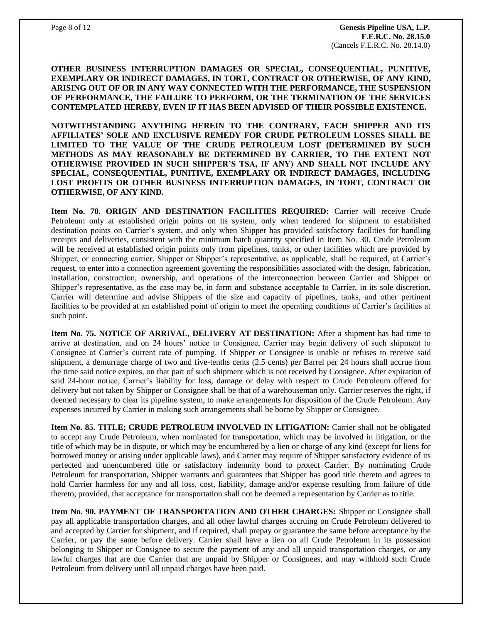**OTHER BUSINESS INTERRUPTION DAMAGES OR SPECIAL, CONSEQUENTIAL, PUNITIVE, EXEMPLARY OR INDIRECT DAMAGES, IN TORT, CONTRACT OR OTHERWISE, OF ANY KIND, ARISING OUT OF OR IN ANY WAY CONNECTED WITH THE PERFORMANCE, THE SUSPENSION OF PERFORMANCE, THE FAILURE TO PERFORM, OR THE TERMINATION OF THE SERVICES CONTEMPLATED HEREBY, EVEN IF IT HAS BEEN ADVISED OF THEIR POSSIBLE EXISTENCE.**

**NOTWITHSTANDING ANYTHING HEREIN TO THE CONTRARY, EACH SHIPPER AND ITS AFFILIATES' SOLE AND EXCLUSIVE REMEDY FOR CRUDE PETROLEUM LOSSES SHALL BE LIMITED TO THE VALUE OF THE CRUDE PETROLEUM LOST (DETERMINED BY SUCH METHODS AS MAY REASONABLY BE DETERMINED BY CARRIER, TO THE EXTENT NOT OTHERWISE PROVIDED IN SUCH SHIPPER'S TSA, IF ANY) AND SHALL NOT INCLUDE ANY SPECIAL, CONSEQUENTIAL, PUNITIVE, EXEMPLARY OR INDIRECT DAMAGES, INCLUDING LOST PROFITS OR OTHER BUSINESS INTERRUPTION DAMAGES, IN TORT, CONTRACT OR OTHERWISE, OF ANY KIND.**

**Item No. 70. ORIGIN AND DESTINATION FACILITIES REQUIRED:** Carrier will receive Crude Petroleum only at established origin points on its system, only when tendered for shipment to established destination points on Carrier's system, and only when Shipper has provided satisfactory facilities for handling receipts and deliveries, consistent with the minimum batch quantity specified in Item No. 30. Crude Petroleum will be received at established origin points only from pipelines, tanks, or other facilities which are provided by Shipper, or connecting carrier. Shipper or Shipper's representative, as applicable, shall be required, at Carrier's request, to enter into a connection agreement governing the responsibilities associated with the design, fabrication, installation, construction, ownership, and operations of the interconnection between Carrier and Shipper or Shipper's representative, as the case may be, in form and substance acceptable to Carrier, in its sole discretion. Carrier will determine and advise Shippers of the size and capacity of pipelines, tanks, and other pertinent facilities to be provided at an established point of origin to meet the operating conditions of Carrier's facilities at such point.

**Item No. 75. NOTICE OF ARRIVAL, DELIVERY AT DESTINATION:** After a shipment has had time to arrive at destination, and on 24 hours' notice to Consignee, Carrier may begin delivery of such shipment to Consignee at Carrier's current rate of pumping. If Shipper or Consignee is unable or refuses to receive said shipment, a demurrage charge of two and five-tenths cents (2.5 cents) per Barrel per 24 hours shall accrue from the time said notice expires, on that part of such shipment which is not received by Consignee. After expiration of said 24-hour notice, Carrier's liability for loss, damage or delay with respect to Crude Petroleum offered for delivery but not taken by Shipper or Consignee shall be that of a warehouseman only. Carrier reserves the right, if deemed necessary to clear its pipeline system, to make arrangements for disposition of the Crude Petroleum. Any expenses incurred by Carrier in making such arrangements shall be borne by Shipper or Consignee.

**Item No. 85. TITLE; CRUDE PETROLEUM INVOLVED IN LITIGATION:** Carrier shall not be obligated to accept any Crude Petroleum, when nominated for transportation, which may be involved in litigation, or the title of which may be in dispute, or which may be encumbered by a lien or charge of any kind (except for liens for borrowed money or arising under applicable laws), and Carrier may require of Shipper satisfactory evidence of its perfected and unencumbered title or satisfactory indemnity bond to protect Carrier. By nominating Crude Petroleum for transportation, Shipper warrants and guarantees that Shipper has good title thereto and agrees to hold Carrier harmless for any and all loss, cost, liability, damage and/or expense resulting from failure of title thereto; provided, that acceptance for transportation shall not be deemed a representation by Carrier as to title.

**Item No. 90. PAYMENT OF TRANSPORTATION AND OTHER CHARGES:** Shipper or Consignee shall pay all applicable transportation charges, and all other lawful charges accruing on Crude Petroleum delivered to and accepted by Carrier for shipment, and if required, shall prepay or guarantee the same before acceptance by the Carrier, or pay the same before delivery. Carrier shall have a lien on all Crude Petroleum in its possession belonging to Shipper or Consignee to secure the payment of any and all unpaid transportation charges, or any lawful charges that are due Carrier that are unpaid by Shipper or Consignees, and may withhold such Crude Petroleum from delivery until all unpaid charges have been paid.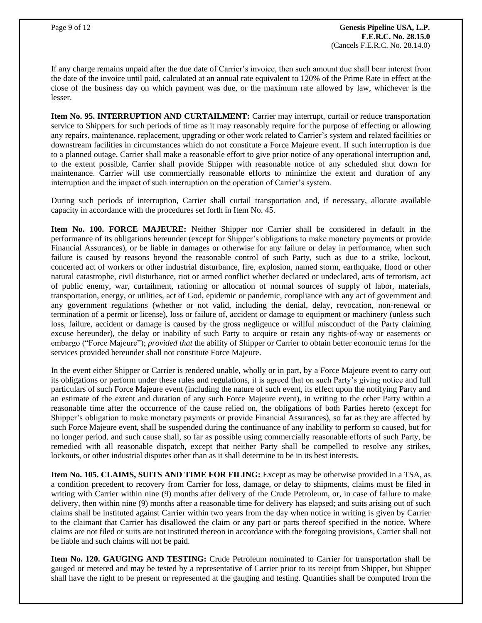If any charge remains unpaid after the due date of Carrier's invoice, then such amount due shall bear interest from the date of the invoice until paid, calculated at an annual rate equivalent to 120% of the Prime Rate in effect at the close of the business day on which payment was due, or the maximum rate allowed by law, whichever is the lesser.

**Item No. 95. INTERRUPTION AND CURTAILMENT:** Carrier may interrupt, curtail or reduce transportation service to Shippers for such periods of time as it may reasonably require for the purpose of effecting or allowing any repairs, maintenance, replacement, upgrading or other work related to Carrier's system and related facilities or downstream facilities in circumstances which do not constitute a Force Majeure event. If such interruption is due to a planned outage, Carrier shall make a reasonable effort to give prior notice of any operational interruption and, to the extent possible, Carrier shall provide Shipper with reasonable notice of any scheduled shut down for maintenance. Carrier will use commercially reasonable efforts to minimize the extent and duration of any interruption and the impact of such interruption on the operation of Carrier's system.

During such periods of interruption, Carrier shall curtail transportation and, if necessary, allocate available capacity in accordance with the procedures set forth in Item No. 45.

**Item No. 100. FORCE MAJEURE:** Neither Shipper nor Carrier shall be considered in default in the performance of its obligations hereunder (except for Shipper's obligations to make monetary payments or provide Financial Assurances), or be liable in damages or otherwise for any failure or delay in performance, when such failure is caused by reasons beyond the reasonable control of such Party, such as due to a strike, lockout, concerted act of workers or other industrial disturbance, fire, explosion, named storm, earthquake, flood or other natural catastrophe, civil disturbance, riot or armed conflict whether declared or undeclared, acts of terrorism, act of public enemy, war, curtailment, rationing or allocation of normal sources of supply of labor, materials, transportation, energy, or utilities, act of God, epidemic or pandemic, compliance with any act of government and any government regulations (whether or not valid, including the denial, delay, revocation, non-renewal or termination of a permit or license), loss or failure of, accident or damage to equipment or machinery (unless such loss, failure, accident or damage is caused by the gross negligence or willful misconduct of the Party claiming excuse hereunder), the delay or inability of such Party to acquire or retain any rights-of-way or easements or embargo ("Force Majeure"); *provided that* the ability of Shipper or Carrier to obtain better economic terms for the services provided hereunder shall not constitute Force Majeure.

In the event either Shipper or Carrier is rendered unable, wholly or in part, by a Force Majeure event to carry out its obligations or perform under these rules and regulations, it is agreed that on such Party's giving notice and full particulars of such Force Majeure event (including the nature of such event, its effect upon the notifying Party and an estimate of the extent and duration of any such Force Majeure event), in writing to the other Party within a reasonable time after the occurrence of the cause relied on, the obligations of both Parties hereto (except for Shipper's obligation to make monetary payments or provide Financial Assurances), so far as they are affected by such Force Majeure event, shall be suspended during the continuance of any inability to perform so caused, but for no longer period, and such cause shall, so far as possible using commercially reasonable efforts of such Party, be remedied with all reasonable dispatch, except that neither Party shall be compelled to resolve any strikes, lockouts, or other industrial disputes other than as it shall determine to be in its best interests.

**Item No. 105. CLAIMS, SUITS AND TIME FOR FILING:** Except as may be otherwise provided in a TSA, as a condition precedent to recovery from Carrier for loss, damage, or delay to shipments, claims must be filed in writing with Carrier within nine (9) months after delivery of the Crude Petroleum, or, in case of failure to make delivery, then within nine (9) months after a reasonable time for delivery has elapsed; and suits arising out of such claims shall be instituted against Carrier within two years from the day when notice in writing is given by Carrier to the claimant that Carrier has disallowed the claim or any part or parts thereof specified in the notice. Where claims are not filed or suits are not instituted thereon in accordance with the foregoing provisions, Carrier shall not be liable and such claims will not be paid.

**Item No. 120. GAUGING AND TESTING:** Crude Petroleum nominated to Carrier for transportation shall be gauged or metered and may be tested by a representative of Carrier prior to its receipt from Shipper, but Shipper shall have the right to be present or represented at the gauging and testing. Quantities shall be computed from the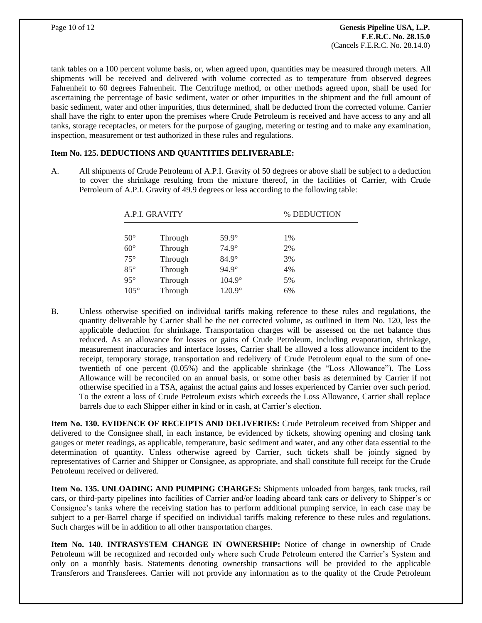tank tables on a 100 percent volume basis, or, when agreed upon, quantities may be measured through meters. All shipments will be received and delivered with volume corrected as to temperature from observed degrees Fahrenheit to 60 degrees Fahrenheit. The Centrifuge method, or other methods agreed upon, shall be used for ascertaining the percentage of basic sediment, water or other impurities in the shipment and the full amount of basic sediment, water and other impurities, thus determined, shall be deducted from the corrected volume. Carrier shall have the right to enter upon the premises where Crude Petroleum is received and have access to any and all tanks, storage receptacles, or meters for the purpose of gauging, metering or testing and to make any examination, inspection, measurement or test authorized in these rules and regulations.

## **Item No. 125. DEDUCTIONS AND QUANTITIES DELIVERABLE:**

A. All shipments of Crude Petroleum of A.P.I. Gravity of 50 degrees or above shall be subject to a deduction to cover the shrinkage resulting from the mixture thereof, in the facilities of Carrier, with Crude Petroleum of A.P.I. Gravity of 49.9 degrees or less according to the following table:

| A.P.I. GRAVITY |         |               | % DEDUCTION |
|----------------|---------|---------------|-------------|
|                |         |               |             |
| $50^{\circ}$   | Through | $59.9^\circ$  | 1%          |
| $60^\circ$     | Through | $74.9^\circ$  | 2%          |
| $75^{\circ}$   | Through | $84.9^\circ$  | 3%          |
| $85^{\circ}$   | Through | $94.9^\circ$  | 4%          |
| $95^{\circ}$   | Through | $104.9^\circ$ | 5%          |
| $105^\circ$    | Through | $120.9^\circ$ | 6%          |

B. Unless otherwise specified on individual tariffs making reference to these rules and regulations, the quantity deliverable by Carrier shall be the net corrected volume, as outlined in Item No. 120, less the applicable deduction for shrinkage. Transportation charges will be assessed on the net balance thus reduced. As an allowance for losses or gains of Crude Petroleum, including evaporation, shrinkage, measurement inaccuracies and interface losses, Carrier shall be allowed a loss allowance incident to the receipt, temporary storage, transportation and redelivery of Crude Petroleum equal to the sum of onetwentieth of one percent (0.05%) and the applicable shrinkage (the "Loss Allowance"). The Loss Allowance will be reconciled on an annual basis, or some other basis as determined by Carrier if not otherwise specified in a TSA, against the actual gains and losses experienced by Carrier over such period. To the extent a loss of Crude Petroleum exists which exceeds the Loss Allowance, Carrier shall replace barrels due to each Shipper either in kind or in cash, at Carrier's election.

**Item No. 130. EVIDENCE OF RECEIPTS AND DELIVERIES:** Crude Petroleum received from Shipper and delivered to the Consignee shall, in each instance, be evidenced by tickets, showing opening and closing tank gauges or meter readings, as applicable, temperature, basic sediment and water, and any other data essential to the determination of quantity. Unless otherwise agreed by Carrier, such tickets shall be jointly signed by representatives of Carrier and Shipper or Consignee, as appropriate, and shall constitute full receipt for the Crude Petroleum received or delivered.

**Item No. 135. UNLOADING AND PUMPING CHARGES:** Shipments unloaded from barges, tank trucks, rail cars, or third-party pipelines into facilities of Carrier and/or loading aboard tank cars or delivery to Shipper's or Consignee's tanks where the receiving station has to perform additional pumping service, in each case may be subject to a per-Barrel charge if specified on individual tariffs making reference to these rules and regulations. Such charges will be in addition to all other transportation charges.

**Item No. 140. INTRASYSTEM CHANGE IN OWNERSHIP:** Notice of change in ownership of Crude Petroleum will be recognized and recorded only where such Crude Petroleum entered the Carrier's System and only on a monthly basis. Statements denoting ownership transactions will be provided to the applicable Transferors and Transferees. Carrier will not provide any information as to the quality of the Crude Petroleum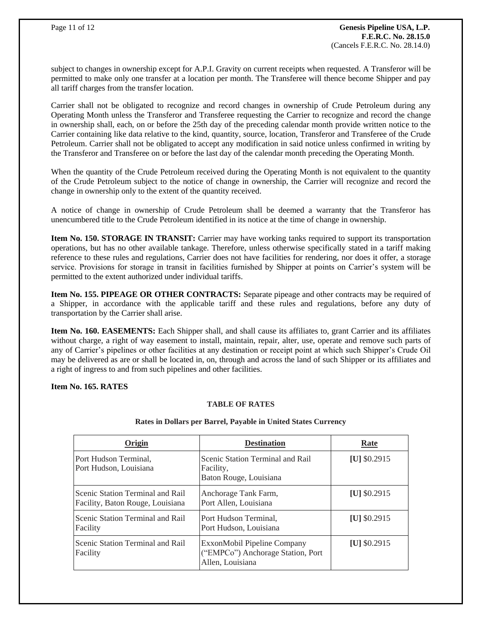subject to changes in ownership except for A.P.I. Gravity on current receipts when requested. A Transferor will be permitted to make only one transfer at a location per month. The Transferee will thence become Shipper and pay all tariff charges from the transfer location.

Carrier shall not be obligated to recognize and record changes in ownership of Crude Petroleum during any Operating Month unless the Transferor and Transferee requesting the Carrier to recognize and record the change in ownership shall, each, on or before the 25th day of the preceding calendar month provide written notice to the Carrier containing like data relative to the kind, quantity, source, location, Transferor and Transferee of the Crude Petroleum. Carrier shall not be obligated to accept any modification in said notice unless confirmed in writing by the Transferor and Transferee on or before the last day of the calendar month preceding the Operating Month.

When the quantity of the Crude Petroleum received during the Operating Month is not equivalent to the quantity of the Crude Petroleum subject to the notice of change in ownership, the Carrier will recognize and record the change in ownership only to the extent of the quantity received.

A notice of change in ownership of Crude Petroleum shall be deemed a warranty that the Transferor has unencumbered title to the Crude Petroleum identified in its notice at the time of change in ownership.

**Item No. 150. STORAGE IN TRANSIT:** Carrier may have working tanks required to support its transportation operations, but has no other available tankage. Therefore, unless otherwise specifically stated in a tariff making reference to these rules and regulations, Carrier does not have facilities for rendering, nor does it offer, a storage service. Provisions for storage in transit in facilities furnished by Shipper at points on Carrier's system will be permitted to the extent authorized under individual tariffs.

**Item No. 155. PIPEAGE OR OTHER CONTRACTS:** Separate pipeage and other contracts may be required of a Shipper, in accordance with the applicable tariff and these rules and regulations, before any duty of transportation by the Carrier shall arise.

**Item No. 160. EASEMENTS:** Each Shipper shall, and shall cause its affiliates to, grant Carrier and its affiliates without charge, a right of way easement to install, maintain, repair, alter, use, operate and remove such parts of any of Carrier's pipelines or other facilities at any destination or receipt point at which such Shipper's Crude Oil may be delivered as are or shall be located in, on, through and across the land of such Shipper or its affiliates and a right of ingress to and from such pipelines and other facilities.

#### **Item No. 165. RATES**

## **TABLE OF RATES**

| Origin                                                               | <b>Destination</b>                                                                   | Rate           |
|----------------------------------------------------------------------|--------------------------------------------------------------------------------------|----------------|
| Port Hudson Terminal,<br>Port Hudson, Louisiana                      | Scenic Station Terminal and Rail<br>Facility,<br>Baton Rouge, Louisiana              | $[U]$ \$0.2915 |
| Scenic Station Terminal and Rail<br>Facility, Baton Rouge, Louisiana | Anchorage Tank Farm,<br>Port Allen, Louisiana                                        | [U] $$0.2915$  |
| Scenic Station Terminal and Rail<br>Facility                         | Port Hudson Terminal,<br>Port Hudson, Louisiana                                      | $[U]$ \$0.2915 |
| Scenic Station Terminal and Rail<br>Facility                         | ExxonMobil Pipeline Company<br>("EMPCo") Anchorage Station, Port<br>Allen, Louisiana | $[U]$ \$0.2915 |

#### **Rates in Dollars per Barrel, Payable in United States Currency**